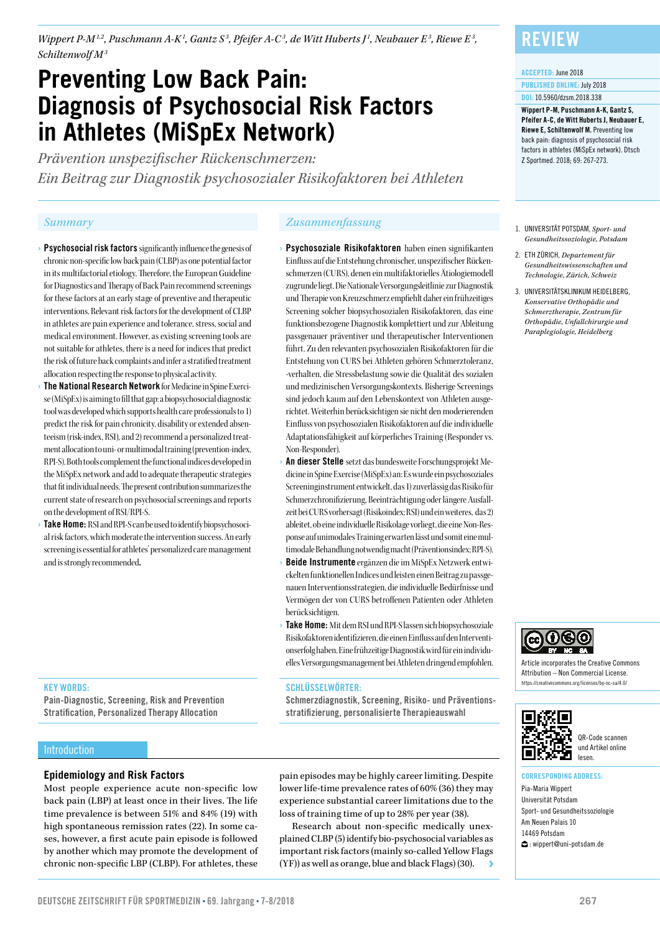*Wippert P-M<sup>1,2</sup>, Puschmann A-K<sup>1</sup>, Gantz S<sup>3</sup>, Pfeifer A-C<sup>3</sup>, de Witt Huberts J<sup>1</sup>, Neubauer E<sup>3</sup>, Riewe E<sup>3</sup>, Schiltenwolf M3*

# **Preventing Low Back Pain: Diagnosis of Psychosocial Risk Factors in Athletes (MiSpEx Network)**

*Prävention unspezifischer Rückenschmerzen: Ein Beitrag zur Diagnostik psychosozialer Risikofaktoren bei Athleten*

- › Psychosocial risk factors significantly influence the genesis of chronic non-specific low back pain (CLBP) as one potential factor in its multifactorial etiology. Therefore, the European Guideline for Diagnostics and Therapy of Back Pain recommend screenings for these factors at an early stage of preventive and therapeutic interventions. Relevant risk factors for the development of CLBP in athletes are pain experience and tolerance, stress, social and medical environment. However, as existing screening tools are not suitable for athletes, there is a need for indices that predict the risk of future back complaints and infer a stratified treatment allocation respecting the response to physical activity.
- The National Research Network for Medicine in Spine Exercise (MiSpEx) is aiming to fill that gap: a biopsychosocial diagnostic tool was developed which supports health care professionals to 1) predict the risk for pain chronicity, disability or extended absenteeism (risk-index, RSI), and 2) recommend a personalized treatment allocation to uni- or multimodal training (prevention-index, RPI-S). Both tools complement the functional indices developed in the MiSpEx network and add to adequate therapeutic strategies that fit individual needs. The present contribution summarizes the current state of research on psychosocial screenings and reports on the development of RSI/RPI-S.
- **Take Home:** RSI and RPI-S can be used to identify biopsychosocial risk factors, which moderate the intervention success. An early screening is essential for athletes' personalized care management and is strongly recommended.

#### *Summary Zusammenfassung*

- Psychosoziale Risikofaktoren haben einen signifikanten Einfluss auf die Entstehung chronischer, unspezifischer Rückenschmerzen (CURS), denen ein multifaktorielles Ätiologiemodell zugrunde liegt. Die Nationale Versorgungsleitlinie zur Diagnostik und Therapie von Kreuzschmerz empfiehlt daher ein frühzeitiges Screening solcher biopsychosozialen Risikofaktoren, das eine funktionsbezogene Diagnostik komplettiert und zur Ableitung passgenauer präventiver und therapeutischer Interventionen führt. Zu den relevanten psychosozialen Risikofaktoren für die Entstehung von CURS bei Athleten gehören Schmerztoleranz, -verhalten, die Stressbelastung sowie die Qualität des sozialen und medizinischen Versorgungskontexts. Bisherige Screenings sind jedoch kaum auf den Lebenskontext von Athleten ausgerichtet. Weiterhin berücksichtigen sie nicht den moderierenden Einfluss von psychosozialen Risikofaktoren auf die individuelle Adaptationsfähigkeit auf körperliches Training (Responder vs. Non-Responder).
- An dieser Stelle setzt das bundesweite Forschungsprojekt Medicine in Spine Exercise (MiSpEx) an: Es wurde ein psychosoziales Screeninginstrument entwickelt, das 1) zuverlässig das Risiko für Schmerzchronifizierung, Beeinträchtigung oder längere Ausfallzeit bei CURS vorhersagt (Risikoindex; RSI) und ein weiteres, das 2) ableitet, ob eine individuelle Risikolage vorliegt, die eine Non-Response auf unimodales Training erwarten lässt und somit eine multimodale Behandlung notwendig macht (Präventionsindex; RPI-S).
- Beide Instrumente ergänzen die im MiSpEx Netzwerk entwickelten funktionellen Indices und leisten einen Beitrag zu passgenauen Interventionsstrategien, die individuelle Bedürfnisse und Vermögen der von CURS betroffenen Patienten oder Athleten berücksichtigen.
- Take Home: Mit dem RSI und RPI-S lassen sich biopsychosoziale Risikofaktoren identifizieren, die einen Einfluss auf den Interventionserfolg haben. Eine frühzeitige Diagnostik wird für ein individuelles Versorgungsmanagement bei Athleten dringend empfohlen.

#### SCHLÜSSELWÖRTER:

Schmerzdiagnostik, Screening, Risiko- und Präventionsstratifizierung, personalisierte Therapieauswahl

### Introduction

KEY WORDS:

#### **Epidemiology and Risk Factors**

Pain-Diagnostic, Screening, Risk and Prevention Stratification, Personalized Therapy Allocation

Most people experience acute non-specific low back pain (LBP) at least once in their lives. The life time prevalence is between 51% and 84% (19) with high spontaneous remission rates (22). In some cases, however, a first acute pain episode is followed by another which may promote the development of chronic non-specific LBP (CLBP). For athletes, these

pain episodes may be highly career limiting. Despite lower life-time prevalence rates of 60% (36) they may experience substantial career limitations due to the loss of training time of up to 28% per year (38).

Research about non-specific medically unexplained CLBP (5) identify bio-psychosocial variables as important risk factors (mainly so-called Yellow Flags (YF)) as well as orange, blue and black Flags) (30).

### **REVIEW**

#### ACCEPTED: June 2018

PUBLISHED ONLINE: July 2018 DOI: 10.5960/dzsm.2018.338

Wippert P-M, Puschmann A-K, Gantz S, Pfeifer A-C, de Witt Huberts J, Neubauer E, Riewe E, Schiltenwolf M. Preventing low back pain: diagnosis of psychosocial risk factors in athletes (MiSpEx network). Dtsch Z Sportmed. 2018; 69: 267-273.

- 1. UNIVERSITÄT POTSDAM, *Sport- und Gesundheitssoziologie, Potsdam*
- 2. ETH ZÜRICH, *Departement für Gesundheitswissenschaften und Technologie, Zürich, Schweiz*
- 3. UNIVERSITÄTSKLINIKUM HEIDELBERG, *Konservative Orthopädie und Schmerztherapie, Zentrum für Orthopädie, Unfallchirurgie und Paraplegiologie, Heidelberg*



Article incorporates the Creative Commons Attribution – Non Commercial License. https://creativecommons.org/licenses/by-nc-sa/4.0/



QR-Code scannen und Artikel online lesen.

#### CORRESPONDING ADDRESS:

Pia-Maria Wippert Universität Potsdam Sport- und Gesundheitssoziologie Am Neuen Palais 10 14469 Potsdam  $\spadesuit$ : wippert@uni-potsdam.de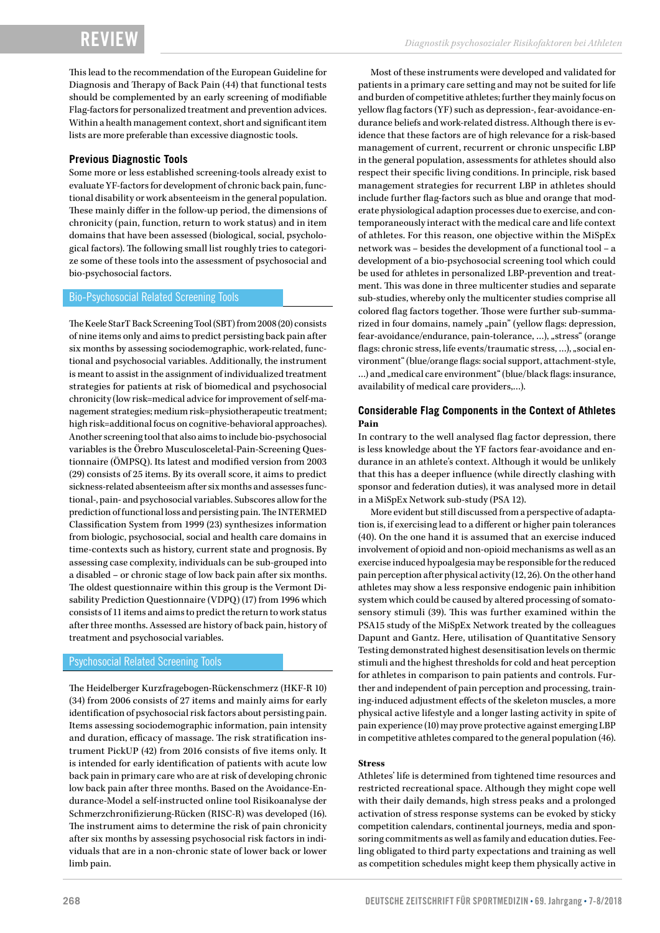This lead to the recommendation of the European Guideline for Diagnosis and Therapy of Back Pain (44) that functional tests should be complemented by an early screening of modifiable Flag-factors for personalized treatment and prevention advices. Within a health management context, short and significant item lists are more preferable than excessive diagnostic tools.

#### **Previous Diagnostic Tools**

Some more or less established screening-tools already exist to evaluate YF-factors for development of chronic back pain, functional disability or work absenteeism in the general population. These mainly differ in the follow-up period, the dimensions of chronicity (pain, function, return to work status) and in item domains that have been assessed (biological, social, psychological factors). The following small list roughly tries to categorize some of these tools into the assessment of psychosocial and bio-psychosocial factors.

#### Bio-Psychosocial Related Screening Tools

The Keele StarT Back Screening Tool (SBT) from 2008 (20) consists of nine items only and aims to predict persisting back pain after six months by assessing sociodemographic, work-related, functional and psychosocial variables. Additionally, the instrument is meant to assist in the assignment of individualized treatment strategies for patients at risk of biomedical and psychosocial chronicity (low risk=medical advice for improvement of self-management strategies; medium risk=physiotherapeutic treatment; high risk=additional focus on cognitive-behavioral approaches). Another screening tool that also aims to include bio-psychosocial variables is the Örebro Musculosceletal-Pain-Screening Questionnaire (ÖMPSQ). Its latest and modified version from 2003 (29) consists of 25 items. By its overall score, it aims to predict sickness-related absenteeism after six months and assesses functional-, pain- and psychosocial variables. Subscores allow for the prediction of functional loss and persisting pain. The INTERMED Classification System from 1999 (23) synthesizes information from biologic, psychosocial, social and health care domains in time-contexts such as history, current state and prognosis. By assessing case complexity, individuals can be sub-grouped into a disabled – or chronic stage of low back pain after six months. The oldest questionnaire within this group is the Vermont Disability Prediction Questionnaire (VDPQ) (17) from 1996 which consists of 11 items and aims to predict the return to work status after three months. Assessed are history of back pain, history of treatment and psychosocial variables.

#### Psychosocial Related Screening Tools

The Heidelberger Kurzfragebogen-Rückenschmerz (HKF-R 10) (34) from 2006 consists of 27 items and mainly aims for early identification of psychosocial risk factors about persisting pain. Items assessing sociodemographic information, pain intensity and duration, efficacy of massage. The risk stratification instrument PickUP (42) from 2016 consists of five items only. It is intended for early identification of patients with acute low back pain in primary care who are at risk of developing chronic low back pain after three months. Based on the Avoidance-Endurance-Model a self-instructed online tool Risikoanalyse der Schmerzchronifizierung-Rücken (RISC-R) was developed (16). The instrument aims to determine the risk of pain chronicity after six months by assessing psychosocial risk factors in individuals that are in a non-chronic state of lower back or lower limb pain.

Most of these instruments were developed and validated for patients in a primary care setting and may not be suited for life and burden of competitive athletes; further they mainly focus on yellow flag factors (YF) such as depression-, fear-avoidance-endurance beliefs and work-related distress. Although there is evidence that these factors are of high relevance for a risk-based management of current, recurrent or chronic unspecific LBP in the general population, assessments for athletes should also respect their specific living conditions. In principle, risk based management strategies for recurrent LBP in athletes should include further flag-factors such as blue and orange that moderate physiological adaption processes due to exercise, and contemporaneously interact with the medical care and life context of athletes. For this reason, one objective within the MiSpEx network was – besides the development of a functional tool – a development of a bio-psychosocial screening tool which could be used for athletes in personalized LBP-prevention and treatment. This was done in three multicenter studies and separate sub-studies, whereby only the multicenter studies comprise all colored flag factors together. Those were further sub-summarized in four domains, namely "pain" (yellow flags: depression, fear-avoidance/endurance, pain-tolerance, ...), "stress" (orange flags: chronic stress, life events/traumatic stress, ...), "social environment" (blue/orange flags: social support, attachment-style, ...) and "medical care environment" (blue/black flags: insurance, availability of medical care providers,…).

#### **Considerable Flag Components in the Context of Athletes Pain**

In contrary to the well analysed flag factor depression, there is less knowledge about the YF factors fear-avoidance and endurance in an athlete's context. Although it would be unlikely that this has a deeper influence (while directly clashing with sponsor and federation duties), it was analysed more in detail in a MiSpEx Network sub-study (PSA 12).

More evident but still discussed from a perspective of adaptation is, if exercising lead to a different or higher pain tolerances (40). On the one hand it is assumed that an exercise induced involvement of opioid and non-opioid mechanisms as well as an exercise induced hypoalgesia may be responsible for the reduced pain perception after physical activity (12, 26). On the other hand athletes may show a less responsive endogenic pain inhibition system which could be caused by altered processing of somatosensory stimuli (39). This was further examined within the PSA15 study of the MiSpEx Network treated by the colleagues Dapunt and Gantz. Here, utilisation of Quantitative Sensory Testing demonstrated highest desensitisation levels on thermic stimuli and the highest thresholds for cold and heat perception for athletes in comparison to pain patients and controls. Further and independent of pain perception and processing, training-induced adjustment effects of the skeleton muscles, a more physical active lifestyle and a longer lasting activity in spite of pain experience (10) may prove protective against emerging LBP in competitive athletes compared to the general population (46).

#### **Stress**

Athletes' life is determined from tightened time resources and restricted recreational space. Although they might cope well with their daily demands, high stress peaks and a prolonged activation of stress response systems can be evoked by sticky competition calendars, continental journeys, media and sponsoring commitments as well as family and education duties. Feeling obligated to third party expectations and training as well as competition schedules might keep them physically active in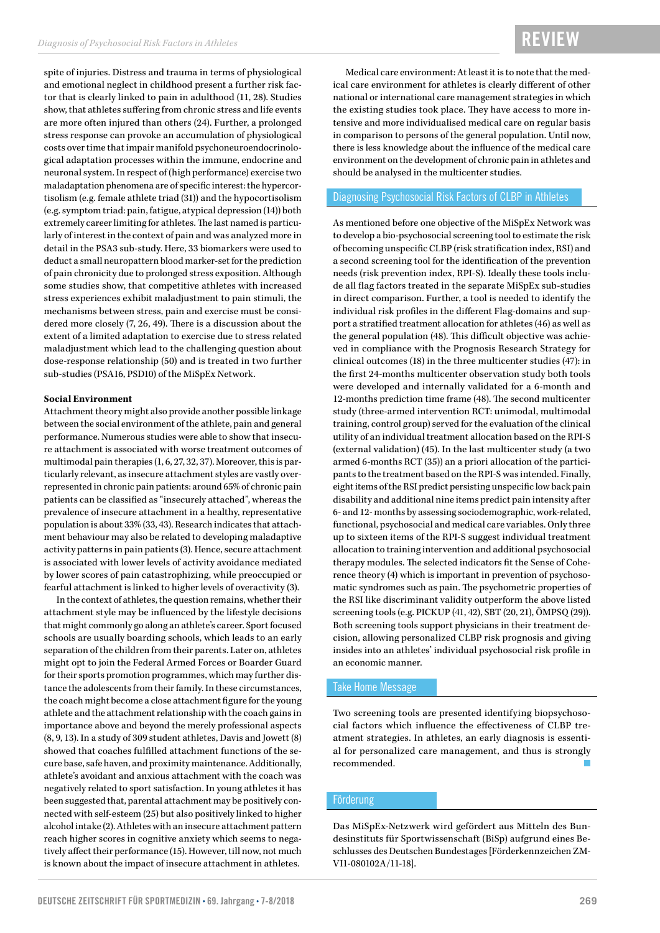spite of injuries. Distress and trauma in terms of physiological and emotional neglect in childhood present a further risk factor that is clearly linked to pain in adulthood (11, 28). Studies show, that athletes suffering from chronic stress and life events are more often injured than others (24). Further, a prolonged stress response can provoke an accumulation of physiological costs over time that impair manifold psychoneuroendocrinological adaptation processes within the immune, endocrine and neuronal system. In respect of (high performance) exercise two maladaptation phenomena are of specific interest: the hypercortisolism (e.g. female athlete triad (31)) and the hypocortisolism (e.g. symptom triad: pain, fatigue, atypical depression (14)) both extremely career limiting for athletes. The last named is particularly of interest in the context of pain and was analyzed more in detail in the PSA3 sub-study. Here, 33 biomarkers were used to deduct a small neuropattern blood marker-set for the prediction of pain chronicity due to prolonged stress exposition. Although some studies show, that competitive athletes with increased stress experiences exhibit maladjustment to pain stimuli, the mechanisms between stress, pain and exercise must be considered more closely (7, 26, 49). There is a discussion about the extent of a limited adaptation to exercise due to stress related maladjustment which lead to the challenging question about dose-response relationship (50) and is treated in two further sub-studies (PSA16, PSD10) of the MiSpEx Network.

#### **Social Environment**

Attachment theory might also provide another possible linkage between the social environment of the athlete, pain and general performance. Numerous studies were able to show that insecure attachment is associated with worse treatment outcomes of multimodal pain therapies (1, 6, 27, 32, 37). Moreover, this is particularly relevant, as insecure attachment styles are vastly overrepresented in chronic pain patients: around 65% of chronic pain patients can be classified as "insecurely attached", whereas the prevalence of insecure attachment in a healthy, representative population is about 33% (33, 43). Research indicates that attachment behaviour may also be related to developing maladaptive activity patterns in pain patients (3). Hence, secure attachment is associated with lower levels of activity avoidance mediated by lower scores of pain catastrophizing, while preoccupied or fearful attachment is linked to higher levels of overactivity (3).

In the context of athletes, the question remains, whether their attachment style may be influenced by the lifestyle decisions that might commonly go along an athlete's career. Sport focused schools are usually boarding schools, which leads to an early separation of the children from their parents. Later on, athletes might opt to join the Federal Armed Forces or Boarder Guard for their sports promotion programmes, which may further distance the adolescents from their family. In these circumstances, the coach might become a close attachment figure for the young athlete and the attachment relationship with the coach gains in importance above and beyond the merely professional aspects (8, 9, 13). In a study of 309 student athletes, Davis and Jowett (8) showed that coaches fulfilled attachment functions of the secure base, safe haven, and proximity maintenance. Additionally, athlete's avoidant and anxious attachment with the coach was negatively related to sport satisfaction. In young athletes it has been suggested that, parental attachment may be positively connected with self-esteem (25) but also positively linked to higher alcohol intake (2). Athletes with an insecure attachment pattern reach higher scores in cognitive anxiety which seems to negatively affect their performance (15). However, till now, not much is known about the impact of insecure attachment in athletes.

Medical care environment: At least it is to note that the medical care environment for athletes is clearly different of other national or international care management strategies in which the existing studies took place. They have access to more intensive and more individualised medical care on regular basis in comparison to persons of the general population. Until now, there is less knowledge about the influence of the medical care environment on the development of chronic pain in athletes and should be analysed in the multicenter studies.

#### Diagnosing Psychosocial Risk Factors of CLBP in Athletes

As mentioned before one objective of the MiSpEx Network was to develop a bio-psychosocial screening tool to estimate the risk of becoming unspecific CLBP (risk stratification index, RSI) and a second screening tool for the identification of the prevention needs (risk prevention index, RPI-S). Ideally these tools include all flag factors treated in the separate MiSpEx sub-studies in direct comparison. Further, a tool is needed to identify the individual risk profiles in the different Flag-domains and support a stratified treatment allocation for athletes (46) as well as the general population (48). This difficult objective was achieved in compliance with the Prognosis Research Strategy for clinical outcomes (18) in the three multicenter studies (47): in the first 24-months multicenter observation study both tools were developed and internally validated for a 6-month and 12-months prediction time frame (48). The second multicenter study (three-armed intervention RCT: unimodal, multimodal training, control group) served for the evaluation of the clinical utility of an individual treatment allocation based on the RPI-S (external validation) (45). In the last multicenter study (a two armed 6-months RCT (35)) an a priori allocation of the participants to the treatment based on the RPI-S was intended. Finally, eight items of the RSI predict persisting unspecific low back pain disability and additional nine items predict pain intensity after 6- and 12- months by assessing sociodemographic, work-related, functional, psychosocial and medical care variables. Only three up to sixteen items of the RPI-S suggest individual treatment allocation to training intervention and additional psychosocial therapy modules. The selected indicators fit the Sense of Coherence theory (4) which is important in prevention of psychosomatic syndromes such as pain. The psychometric properties of the RSI like discriminant validity outperform the above listed screening tools (e.g. PICKUP (41, 42), SBT (20, 21), ÖMPSQ (29)). Both screening tools support physicians in their treatment decision, allowing personalized CLBP risk prognosis and giving insides into an athletes' individual psychosocial risk profile in an economic manner.

#### Take Home Message

Two screening tools are presented identifying biopsychosocial factors which influence the effectiveness of CLBP treatment strategies. In athletes, an early diagnosis is essential for personalized care management, and thus is strongly recommended.

#### Förderung

Das MiSpEx-Netzwerk wird gefördert aus Mitteln des Bundesinstituts für Sportwissenschaft (BiSp) aufgrund eines Beschlusses des Deutschen Bundestages [Förderkennzeichen ZM-VI1-080102A/11-18].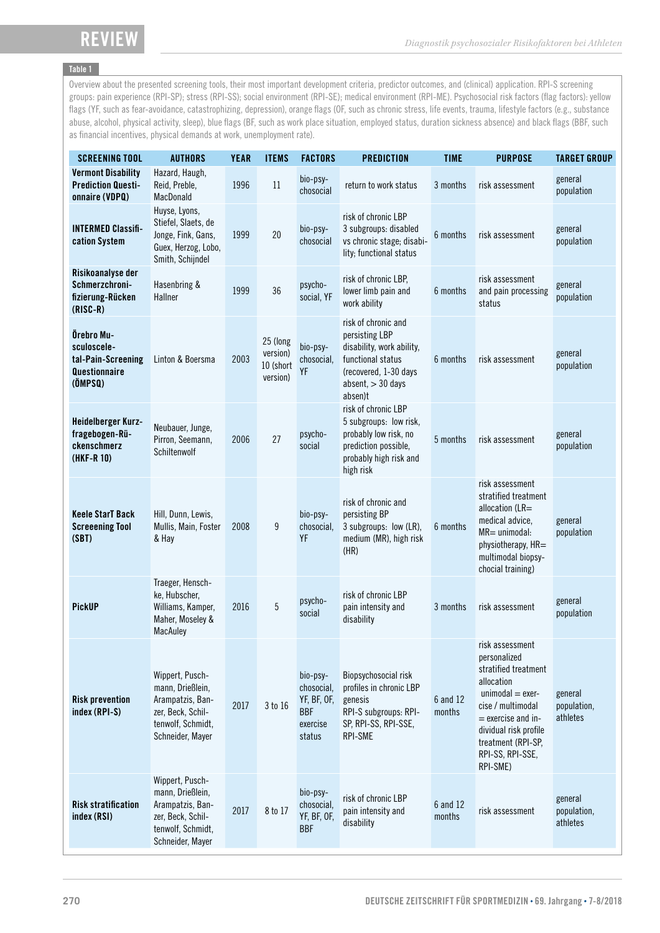### Table 1

Overview about the presented screening tools, their most important development criteria, predictor outcomes, and (clinical) application. RPI-S screening groups: pain experience (RPI-SP); stress (RPI-SS); social environment (RPI-SE); medical environment (RPI-ME). Psychosocial risk factors (flag factors): yellow flags (YF, such as fear-avoidance, catastrophizing, depression), orange flags (OF, such as chronic stress, life events, trauma, lifestyle factors (e.g., substance abuse, alcohol, physical activity, sleep), blue flags (BF, such as work place situation, employed status, duration sickness absence) and black flags (BBF, such as financial incentives, physical demands at work, unemployment rate).

| <b>SCREENING TOOL</b>                                                       | <b>AUTHORS</b>                                                                                                        | <b>YEAR</b> | <b>ITEMS</b>                                  | <b>FACTORS</b>                                                            | <b>PREDICTION</b>                                                                                                                                     | <b>TIME</b>        | <b>PURPOSE</b>                                                                                                                                                                                                          | <b>TARGET GROUP</b>                |
|-----------------------------------------------------------------------------|-----------------------------------------------------------------------------------------------------------------------|-------------|-----------------------------------------------|---------------------------------------------------------------------------|-------------------------------------------------------------------------------------------------------------------------------------------------------|--------------------|-------------------------------------------------------------------------------------------------------------------------------------------------------------------------------------------------------------------------|------------------------------------|
| <b>Vermont Disability</b><br><b>Prediction Questi-</b><br>onnaire (VDPQ)    | Hazard, Haugh,<br>Reid, Preble,<br>MacDonald                                                                          | 1996        | 11                                            | bio-psy-<br>chosocial                                                     | return to work status                                                                                                                                 | 3 months           | risk assessment                                                                                                                                                                                                         | general<br>population              |
| <b>INTERMED Classifi-</b><br>cation System                                  | Huyse, Lyons,<br>Stiefel, Slaets, de<br>Jonge, Fink, Gans,<br>Guex, Herzog, Lobo,<br>Smith, Schijndel                 | 1999        | 20                                            | bio-psy-<br>chosocial                                                     | risk of chronic LBP<br>3 subgroups: disabled<br>vs chronic stage; disabi-<br>lity; functional status                                                  | 6 months           | risk assessment                                                                                                                                                                                                         | general<br>population              |
| Risikoanalyse der<br>Schmerzchroni-<br>fizierung-Rücken<br>$(RISC-R)$       | Hasenbring &<br>Hallner                                                                                               | 1999        | 36                                            | psycho-<br>social, YF                                                     | risk of chronic LBP,<br>lower limb pain and<br>work ability                                                                                           | 6 months           | risk assessment<br>and pain processing<br>status                                                                                                                                                                        | general<br>population              |
| Örebro Mu-<br>sculoscele-<br>tal-Pain-Screening<br>Questionnaire<br>(ÖMPSQ) | Linton & Boersma                                                                                                      | 2003        | 25 (long<br>version)<br>10 (short<br>version) | bio-psy-<br>chosocial,<br>YF                                              | risk of chronic and<br>persisting LBP<br>disability, work ability,<br>functional status<br>(recovered, 1-30 days<br>$absent$ , $>$ 30 days<br>absen)t | 6 months           | risk assessment                                                                                                                                                                                                         | general<br>population              |
| Heidelberger Kurz-<br>fragebogen-Rü-<br>ckenschmerz<br>(HKF-R 10)           | Neubauer, Junge,<br>Pirron, Seemann,<br>Schiltenwolf                                                                  | 2006        | 27                                            | psycho-<br>social                                                         | risk of chronic LBP<br>5 subgroups: low risk,<br>probably low risk, no<br>prediction possible,<br>probably high risk and<br>high risk                 | 5 months           | risk assessment                                                                                                                                                                                                         | general<br>population              |
| <b>Keele StarT Back</b><br><b>Screeening Tool</b><br>(SBT)                  | Hill, Dunn, Lewis,<br>Mullis, Main, Foster<br>& Hay                                                                   | 2008        | 9                                             | bio-psy-<br>chosocial,<br>YF                                              | risk of chronic and<br>persisting BP<br>3 subgroups: low (LR),<br>medium (MR), high risk<br>(HR)                                                      | 6 months           | risk assessment<br>stratified treatment<br>allocation $(LR=$<br>medical advice,<br>$MR =$ unimodal:<br>physiotherapy, HR=<br>multimodal biopsy-<br>chocial training)                                                    | general<br>population              |
| <b>PickUP</b>                                                               | Traeger, Hensch-<br>ke, Hubscher,<br>Williams, Kamper,<br>Maher, Moseley &<br>MacAuley                                | 2016        | $\overline{5}$                                | psycho-<br>social                                                         | risk of chronic LBP<br>pain intensity and<br>disability                                                                                               | 3 months           | risk assessment                                                                                                                                                                                                         | general<br>population              |
| <b>Risk prevention</b><br>index (RPI-S)                                     | Wippert, Pusch-<br>mann, Drießlein,<br>Arampatzis, Ban-<br>zer, Beck, Schil-<br>tenwolf, Schmidt,<br>Schneider, Mayer | 2017        | 3 to 16                                       | bio-psy-<br>chosocial,<br>YF, BF, OF,<br><b>BBF</b><br>exercise<br>status | Biopsychosocial risk<br>profiles in chronic LBP<br>genesis<br>RPI-S subgroups: RPI-<br>SP, RPI-SS, RPI-SSE,<br>RPI-SME                                | 6 and 12<br>months | risk assessment<br>personalized<br>stratified treatment<br>allocation<br>$unimodal = exerc$<br>cise / multimodal<br>$=$ exercise and in-<br>dividual risk profile<br>treatment (RPI-SP,<br>RPI-SS, RPI-SSE,<br>RPI-SME) | general<br>population,<br>athletes |
| <b>Risk stratification</b><br>index (RSI)                                   | Wippert, Pusch-<br>mann, Drießlein,<br>Arampatzis, Ban-<br>zer, Beck, Schil-<br>tenwolf, Schmidt,<br>Schneider, Mayer | 2017        | 8 to 17                                       | bio-psy-<br>chosocial,<br>YF, BF, OF,<br><b>BBF</b>                       | risk of chronic LBP<br>pain intensity and<br>disability                                                                                               | 6 and 12<br>months | risk assessment                                                                                                                                                                                                         | general<br>population,<br>athletes |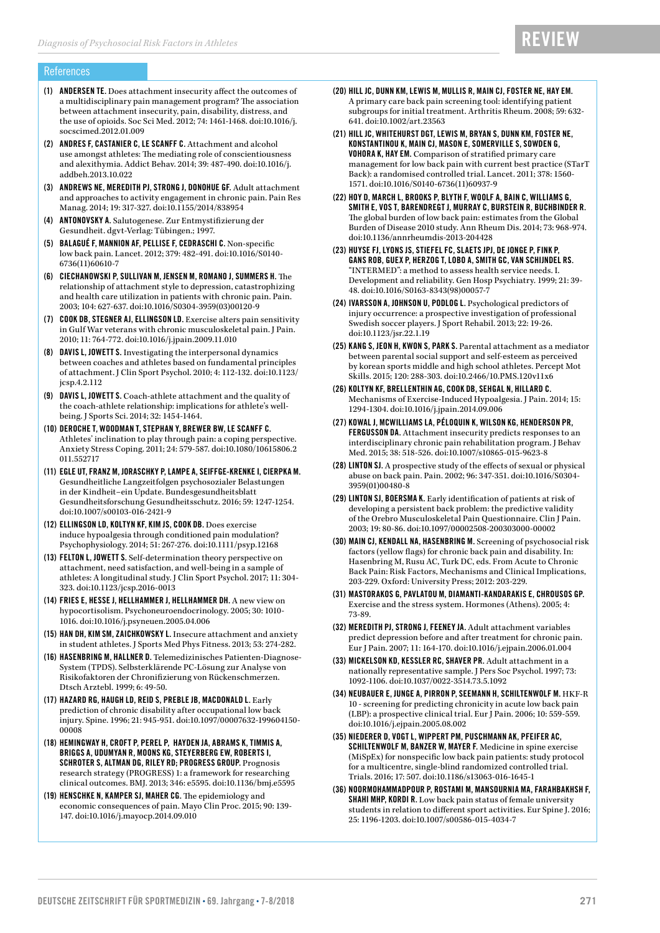#### References

- (1) ANDERSEN TE. Does attachment insecurity affect the outcomes of a multidisciplinary pain management program? The association between attachment insecurity, pain, disability, distress, and the use of opioids. Soc Sci Med. 2012; 74: 1461-1468. doi:10.1016/j. socscimed.2012.01.009
- (2) ANDRES F, CASTANIER C, LE SCANFF C. Attachment and alcohol use amongst athletes: The mediating role of conscientiousness and alexithymia. Addict Behav. 2014; 39: 487-490. doi:10.1016/j. addbeh.2013.10.022
- (3) ANDREWS NE, MEREDITH PJ, STRONG J, DONOHUE GF. Adult attachment and approaches to activity engagement in chronic pain. Pain Res Manag. 2014; 19: 317-327. doi:10.1155/2014/838954
- (4) ANTONOVSKY A. Salutogenese. Zur Entmystifizierung der Gesundheit. dgvt-Verlag: Tübingen.; 1997.
- (5) BALAGUÉ F, MANNION AF, PELLISE F, CEDRASCHI C. Non-specific low back pain. Lancet. 2012; 379: 482-491. doi:10.1016/S0140- 6736(11)60610-7
- (6) CIECHANOWSKI P, SULLIVAN M, JENSEN M, ROMANO J, SUMMERS H. The relationship of attachment style to depression, catastrophizing and health care utilization in patients with chronic pain. Pain. 2003; 104: 627-637. doi:10.1016/S0304-3959(03)00120-9
- (7) COOK DB, STEGNER AJ, ELLINGSON LD. Exercise alters pain sensitivity in Gulf War veterans with chronic musculoskeletal pain. J Pain. 2010; 11: 764-772. doi:10.1016/j.jpain.2009.11.010
- (8) DAVIS L, JOWETT S. Investigating the interpersonal dynamics between coaches and athletes based on fundamental principles of attachment. J Clin Sport Psychol. 2010; 4: 112-132. doi:10.1123/ jcsp.4.2.112
- (9) DAVIS L, JOWETT S. Coach-athlete attachment and the quality of the coach-athlete relationship: implications for athlete's wellbeing. J Sports Sci. 2014; 32: 1454-1464.
- (10) DEROCHE T, WOODMAN T, STEPHAN Y, BREWER BW, LE SCANFF C. Athletes' inclination to play through pain: a coping perspective. Anxiety Stress Coping. 2011; 24: 579-587. doi:10.1080/10615806.2 011.552717
- (11) EGLE UT, FRANZ M, JORASCHKY P, LAMPE A, SEIFFGE-KRENKE I, CIERPKA M. Gesundheitliche Langzeitfolgen psychosozialer Belastungen in der Kindheit–ein Update. Bundesgesundheitsblatt Gesundheitsforschung Gesundheitsschutz. 2016; 59: 1247-1254. doi:10.1007/s00103-016-2421-9
- (12) ELLINGSON LD, KOLTYN KF, KIM JS, COOK DB. Does exercise induce hypoalgesia through conditioned pain modulation? Psychophysiology. 2014; 51: 267-276. doi:10.1111/psyp.12168
- (13) FELTON L, JOWETT S. Self-determination theory perspective on attachment, need satisfaction, and well-being in a sample of athletes: A longitudinal study. J Clin Sport Psychol. 2017; 11: 304- 323. doi:10.1123/jcsp.2016-0013
- (14) FRIES E, HESSE J, HELLHAMMER J, HELLHAMMER DH. A new view on hypocortisolism. Psychoneuroendocrinology. 2005; 30: 1010- 1016. doi:10.1016/j.psyneuen.2005.04.006
- (15) HAN DH, KIM SM, ZAICHKOWSKY L. Insecure attachment and anxiety in student athletes. J Sports Med Phys Fitness. 2013; 53: 274-282.
- (16) HASENBRING M, HALLNER D. Telemedizinisches Patienten-Diagnose-System (TPDS). Selbsterklärende PC-Lösung zur Analyse von Risikofaktoren der Chronifizierung von Rückenschmerzen. Dtsch Arztebl. 1999; 6: 49-50.
- (17) HAZARD RG, HAUGH LD, REID S, PREBLE JB, MACDONALD L. Early prediction of chronic disability after occupational low back injury. Spine. 1996; 21: 945-951. doi:10.1097/00007632-199604150- 00008
- (18) HEMINGWAY H, CROFT P, PEREL P, HAYDEN JA, ABRAMS K, TIMMIS A, BRIGGS A, UDUMYAN R, MOONS KG, STEYERBERG EW, ROBERTS I, SCHROTER S, ALTMAN DG, RILEY RD; PROGRESS GROUP. Prognosis research strategy (PROGRESS) 1: a framework for researching clinical outcomes. BMJ. 2013; 346: e5595. doi:10.1136/bmj.e5595
- (19) HENSCHKE N, KAMPER SJ, MAHER CG. The epidemiology and economic consequences of pain. Mayo Clin Proc. 2015; 90: 139- 147. doi:10.1016/j.mayocp.2014.09.010

(20) HILL JC, DUNN KM, LEWIS M, MULLIS R, MAIN CJ, FOSTER NE, HAY EM. A primary care back pain screening tool: identifying patient subgroups for initial treatment. Arthritis Rheum. 2008; 59: 632- 641. doi:10.1002/art.23563

**REVIEW** 

- (21) HILL JC, WHITEHURST DGT, LEWIS M, BRYAN S, DUNN KM, FOSTER NE, KONSTANTINOU K, MAIN CJ, MASON E, SOMERVILLE S, SOWDEN G, VOHORA K, HAY EM. Comparison of stratified primary care management for low back pain with current best practice (STarT Back): a randomised controlled trial. Lancet. 2011; 378: 1560- 1571. doi:10.1016/S0140-6736(11)60937-9
- (22) HOY D, MARCH L, BROOKS P, BLYTH F, WOOLF A, BAIN C, WILLIAMS G, SMITH E, VOS T, BARENDREGT J, MURRAY C, BURSTEIN R, BUCHBINDER R. The global burden of low back pain: estimates from the Global Burden of Disease 2010 study. Ann Rheum Dis. 2014; 73: 968-974. doi:10.1136/annrheumdis-2013-204428
- (23) HUYSE FJ, LYONS JS, STIEFEL FC, SLAETS JPJ, DE JONGE P, FINK P, GANS ROB, GUEX P, HERZOG T, LOBO A, SMITH GC, VAN SCHIJNDEL RS. "INTERMED": a method to assess health service needs. I. Development and reliability. Gen Hosp Psychiatry. 1999; 21: 39- 48. doi:10.1016/S0163-8343(98)00057-7
- (24) IVARSSON A, JOHNSON U, PODLOG L. Psychological predictors of injury occurrence: a prospective investigation of professional Swedish soccer players. J Sport Rehabil. 2013; 22: 19-26. doi:10.1123/jsr.22.1.19
- (25) KANG S, JEON H, KWON S, PARK S. Parental attachment as a mediator between parental social support and self-esteem as perceived by korean sports middle and high school athletes. Percept Mot Skills. 2015; 120: 288-303. doi:10.2466/10.PMS.120v11x6
- (26) KOLTYN KF, BRELLENTHIN AG, COOK DB, SEHGAL N, HILLARD C. Mechanisms of Exercise-Induced Hypoalgesia. J Pain. 2014; 15: 1294-1304. doi:10.1016/j.jpain.2014.09.006
- (27) KOWAL J, MCWILLIAMS LA, PÉLOQUIN K, WILSON KG, HENDERSON PR, FERGUSSON DA. Attachment insecurity predicts responses to an interdisciplinary chronic pain rehabilitation program. J Behav Med. 2015; 38: 518-526. doi:10.1007/s10865-015-9623-8
- (28) LINTON SJ. A prospective study of the effects of sexual or physical abuse on back pain. Pain. 2002; 96: 347-351. doi:10.1016/S0304- 3959(01)00480-8
- (29) LINTON SJ, BOERSMA K. Early identification of patients at risk of developing a persistent back problem: the predictive validity of the Orebro Musculoskeletal Pain Questionnaire. Clin J Pain. 2003; 19: 80-86. doi:10.1097/00002508-200303000-00002
- (30) MAIN CJ, KENDALL NA, HASENBRING M. Screening of psychosocial risk factors (yellow flags) for chronic back pain and disability. In: Hasenbring M, Rusu AC, Turk DC, eds. From Acute to Chronic Back Pain: Risk Factors, Mechanisms and Clinical Implications, 203-229. Oxford: University Press; 2012: 203-229.
- (31) MASTORAKOS G, PAVLATOU M, DIAMANTI-KANDARAKIS E, CHROUSOS GP. Exercise and the stress system. Hormones (Athens). 2005; 4: 73-89.
- (32) MEREDITH PJ, STRONG J, FEENEY JA. Adult attachment variables predict depression before and after treatment for chronic pain. Eur J Pain. 2007; 11: 164-170. doi:10.1016/j.ejpain.2006.01.004
- (33) MICKELSON KD, KESSLER RC, SHAVER PR. Adult attachment in a nationally representative sample. J Pers Soc Psychol. 1997; 73: 1092-1106. doi:10.1037/0022-3514.73.5.1092
- (34) NEUBAUER E, JUNGE A, PIRRON P, SEEMANN H, SCHILTENWOLF M. HKF-R 10 - screening for predicting chronicity in acute low back pain (LBP): a prospective clinical trial. Eur J Pain. 2006; 10: 559-559. doi:10.1016/j.ejpain.2005.08.002
- (35) NIEDERER D, VOGT L, WIPPERT PM, PUSCHMANN AK, PFEIFER AC, SCHILTENWOLF M, BANZER W, MAYER F. Medicine in spine exercise (MiSpEx) for nonspecific low back pain patients: study protocol for a multicentre, single-blind randomized controlled trial. Trials. 2016; 17: 507. doi:10.1186/s13063-016-1645-1
- (36) NOORMOHAMMADPOUR P, ROSTAMI M, MANSOURNIA MA, FARAHBAKHSH F, SHAHI MHP, KORDI R. Low back pain status of female university students in relation to different sport activities. Eur Spine J. 2016; 25: 1196-1203. doi:10.1007/s00586-015-4034-7